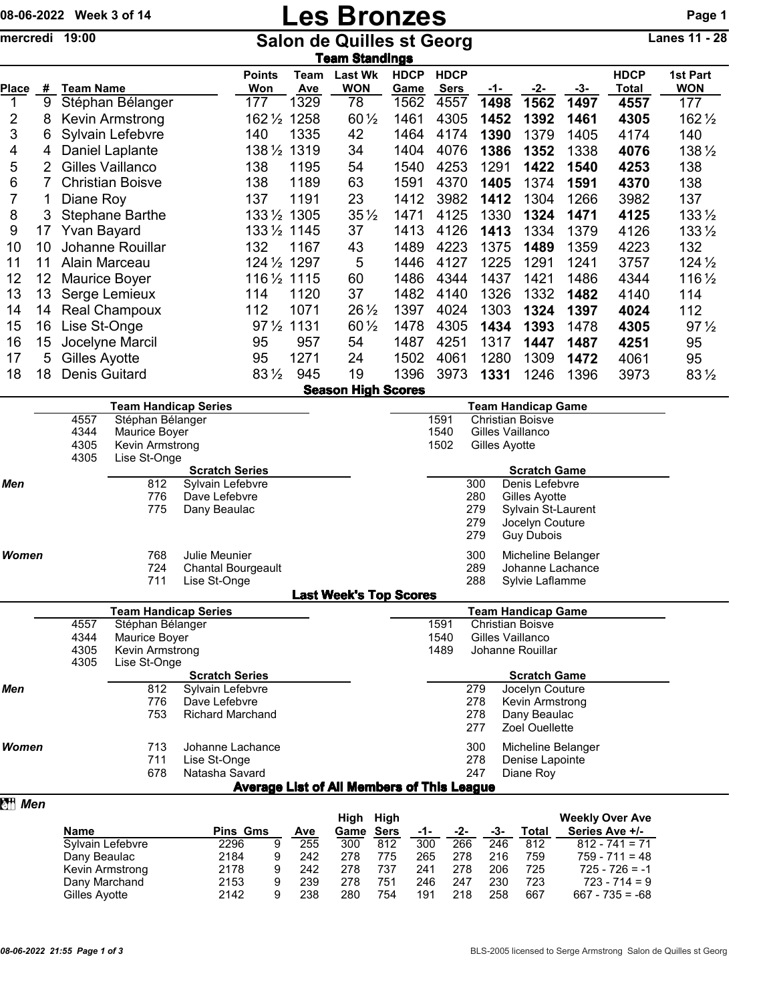## 08-06-2022 Week 3 of 14 **Les Bronzes** Page 1

| mercredi 19:00 |                             |                          |                                  |                                          | <b>Salon de Quilles st Georg</b><br><b>Team Standings</b> |                                 |                                                        |             |                     |                            |            |                                             |       | Lanes 11 - 28                            |                        |  |
|----------------|-----------------------------|--------------------------|----------------------------------|------------------------------------------|-----------------------------------------------------------|---------------------------------|--------------------------------------------------------|-------------|---------------------|----------------------------|------------|---------------------------------------------|-------|------------------------------------------|------------------------|--|
| <b>Place</b>   | $\pmb{\#}$                  | <b>Team Name</b>         |                                  |                                          | <b>Points</b><br>Won                                      | Team<br>Ave                     | <b>Last Wk</b><br><b>WON</b>                           |             | <b>HDCP</b><br>Game | <b>HDCP</b><br><b>Sers</b> | $-1-$      | -2-                                         | $-3-$ | <b>HDCP</b><br><b>Total</b>              | 1st Part<br><b>WON</b> |  |
| 1              | 9                           |                          | Stéphan Bélanger                 |                                          | 177                                                       | 1329                            | 78                                                     |             | 1562                | 4557                       | 1498       | 1562                                        | 1497  | 4557                                     | 177                    |  |
| 2              | 8                           |                          | Kevin Armstrong                  |                                          | 162 1/2 1258                                              |                                 | $60\frac{1}{2}$                                        |             | 1461                | 4305                       | 1452       | 1392                                        | 1461  | 4305                                     | $162\frac{1}{2}$       |  |
| 3              | 6                           |                          | Sylvain Lefebvre                 |                                          | 140                                                       | 1335                            | 42                                                     |             | 1464                | 4174                       | 1390       | 1379                                        | 1405  | 4174                                     | 140                    |  |
| 4              | 4                           |                          | Daniel Laplante                  |                                          | 1381/2 1319                                               |                                 | 34                                                     |             | 1404                | 4076                       | 1386       | 1352                                        | 1338  | 4076                                     | 138 1/2                |  |
| 5              | $\overline{2}$              |                          | Gilles Vaillanco                 |                                          | 138                                                       | 1195                            | 54                                                     |             | 1540                | 4253                       | 1291       | 1422                                        | 1540  | 4253                                     | 138                    |  |
| 6              | $\overline{7}$              |                          | <b>Christian Boisve</b>          |                                          | 138                                                       | 1189                            | 63                                                     |             | 1591                | 4370                       | 1405       | 1374                                        | 1591  | 4370                                     | 138                    |  |
| 7              | 1                           | Diane Roy                |                                  |                                          | 137                                                       | 1191                            | 23                                                     |             | 1412                | 3982                       | 1412       | 1304                                        | 1266  | 3982                                     | 137                    |  |
| 8              | 3                           |                          | <b>Stephane Barthe</b>           |                                          | 1331/2 1305                                               |                                 | $35\frac{1}{2}$                                        |             | 1471                | 4125                       | 1330       | 1324                                        | 1471  | 4125                                     | $133\frac{1}{2}$       |  |
| 9              | 17                          | <b>Yvan Bayard</b>       |                                  |                                          | 1331/2 1145                                               |                                 | 37                                                     |             | 1413                | 4126                       | 1413       | 1334                                        | 1379  | 4126                                     | $133\frac{1}{2}$       |  |
| 10             | 10                          |                          | Johanne Rouillar                 |                                          | 132                                                       | 1167                            | 43                                                     |             | 1489                | 4223                       | 1375       | 1489                                        | 1359  | 4223                                     | 132                    |  |
| 11             | 11                          | Alain Marceau            |                                  |                                          | 124 1/2 1297                                              |                                 | 5                                                      |             | 1446                | 4127                       | 1225       | 1291                                        | 1241  | 3757                                     | $124\frac{1}{2}$       |  |
| 12             | 12                          |                          | Maurice Boyer                    |                                          | 116 1/2 1115                                              |                                 | 60                                                     |             | 1486                | 4344                       | 1437       | 1421                                        | 1486  | 4344                                     | 116 1/2                |  |
| 13             | 13                          |                          | Serge Lemieux                    |                                          | 114                                                       | 1120                            | 37                                                     |             | 1482                | 4140                       | 1326       | 1332                                        | 1482  | 4140                                     | 114                    |  |
| 14             | 14                          |                          | <b>Real Champoux</b>             |                                          | 112                                                       | 1071                            | 26 $\frac{1}{2}$                                       |             | 1397                | 4024                       | 1303       | 1324                                        | 1397  | 4024                                     | 112                    |  |
| 15             | 16                          | Lise St-Onge             |                                  |                                          | 97 1/2 1131                                               |                                 | 60 1/2                                                 |             | 1478                | 4305                       | 1434       | 1393                                        | 1478  | 4305                                     | $97\frac{1}{2}$        |  |
| 16             | 15                          |                          | Jocelyne Marcil                  |                                          | 95                                                        | 957                             | 54                                                     |             | 1487                | 4251                       | 1317       | 1447                                        | 1487  | 4251                                     | 95                     |  |
| 17             | 5                           | Gilles Ayotte            |                                  |                                          | 95                                                        | 1271                            | 24                                                     |             | 1502                | 4061                       | 1280       | 1309                                        | 1472  | 4061                                     | 95                     |  |
| 18             | 18                          | <b>Denis Guitard</b>     |                                  |                                          | $83\frac{1}{2}$                                           | 945                             | 19                                                     |             | 1396                | 3973                       | 1331       | 1246                                        | 1396  | 3973                                     | 83 1/2                 |  |
|                |                             |                          |                                  |                                          |                                                           |                                 |                                                        |             |                     |                            |            |                                             |       |                                          |                        |  |
|                | <b>Team Handicap Series</b> |                          |                                  |                                          |                                                           |                                 | <b>Season High Scores</b><br><b>Team Handicap Game</b> |             |                     |                            |            |                                             |       |                                          |                        |  |
|                |                             | 4557<br>Stéphan Bélanger |                                  |                                          |                                                           | 1591<br><b>Christian Boisve</b> |                                                        |             |                     |                            |            |                                             |       |                                          |                        |  |
|                |                             | 4344                     | Maurice Boyer                    |                                          |                                                           |                                 |                                                        |             |                     | 1540                       |            | Gilles Vaillanco                            |       |                                          |                        |  |
|                |                             | 4305<br>4305             | Kevin Armstrong<br>Lise St-Onge  |                                          |                                                           |                                 |                                                        |             |                     | 1502                       |            | Gilles Ayotte                               |       |                                          |                        |  |
|                |                             |                          |                                  | <b>Scratch Series</b>                    |                                                           |                                 |                                                        |             |                     |                            |            | <b>Scratch Game</b>                         |       |                                          |                        |  |
| Men            |                             |                          | 812                              | Sylvain Lefebvre                         |                                                           |                                 |                                                        |             |                     |                            | 300        | Denis Lefebvre                              |       |                                          |                        |  |
|                |                             |                          | 776                              | Dave Lefebvre                            |                                                           |                                 |                                                        |             |                     |                            | 280        | Gilles Ayotte                               |       |                                          |                        |  |
|                |                             |                          | 775                              | Dany Beaulac                             |                                                           |                                 |                                                        |             |                     |                            | 279<br>279 | Sylvain St-Laurent<br>Jocelyn Couture       |       |                                          |                        |  |
|                |                             |                          |                                  |                                          |                                                           |                                 |                                                        |             |                     |                            | 279        | <b>Guy Dubois</b>                           |       |                                          |                        |  |
| <b>Women</b>   |                             |                          | 768                              | Julie Meunier                            |                                                           |                                 |                                                        |             |                     |                            | 300        | Micheline Belanger                          |       |                                          |                        |  |
|                |                             |                          | 724                              | <b>Chantal Bourgeault</b>                |                                                           |                                 |                                                        |             |                     |                            | 289        | Johanne Lachance                            |       |                                          |                        |  |
|                |                             |                          | 711                              | Lise St-Onge                             |                                                           |                                 |                                                        |             |                     |                            | 288        | Sylvie Laflamme                             |       |                                          |                        |  |
|                |                             |                          |                                  |                                          |                                                           |                                 | <b>Last Week's Top Scores</b>                          |             |                     |                            |            |                                             |       |                                          |                        |  |
|                |                             |                          | <b>Team Handicap Series</b>      |                                          |                                                           |                                 |                                                        |             |                     |                            |            | <b>Team Handicap Game</b>                   |       |                                          |                        |  |
|                |                             | 4557                     | Stéphan Bélanger                 |                                          |                                                           |                                 |                                                        |             |                     | 1591                       |            | <b>Christian Boisve</b><br>Gilles Vaillanco |       |                                          |                        |  |
|                |                             | 4344<br>4305             | Maurice Boyer<br>Kevin Armstrong |                                          |                                                           |                                 |                                                        |             |                     | 1540<br>1489               |            | Johanne Rouillar                            |       |                                          |                        |  |
|                |                             | 4305                     | Lise St-Onge                     |                                          |                                                           |                                 |                                                        |             |                     |                            |            |                                             |       |                                          |                        |  |
|                |                             |                          |                                  | <b>Scratch Series</b>                    |                                                           |                                 |                                                        |             |                     |                            |            | <b>Scratch Game</b>                         |       |                                          |                        |  |
| Men            |                             |                          | 812                              | Sylvain Lefebvre                         |                                                           |                                 |                                                        |             |                     |                            | 279        | Jocelyn Couture                             |       |                                          |                        |  |
|                |                             |                          | 776<br>753                       | Dave Lefebvre<br><b>Richard Marchand</b> |                                                           |                                 |                                                        |             |                     |                            | 278<br>278 | Kevin Armstrong<br>Dany Beaulac             |       |                                          |                        |  |
|                |                             |                          |                                  |                                          |                                                           |                                 |                                                        |             |                     |                            | 277        | Zoel Ouellette                              |       |                                          |                        |  |
| Women          |                             |                          | 713                              | Johanne Lachance                         |                                                           |                                 |                                                        |             |                     |                            | 300        | Micheline Belanger                          |       |                                          |                        |  |
|                |                             |                          | 711                              | Lise St-Onge                             |                                                           |                                 |                                                        |             |                     |                            | 278        | Denise Lapointe                             |       |                                          |                        |  |
|                |                             |                          | 678                              | Natasha Savard                           |                                                           |                                 |                                                        |             |                     |                            | 247        | Diane Roy                                   |       |                                          |                        |  |
|                |                             |                          |                                  |                                          | <b>Average List of All Members of This League</b>         |                                 |                                                        |             |                     |                            |            |                                             |       |                                          |                        |  |
| <b>हम Men</b>  |                             |                          |                                  |                                          |                                                           |                                 |                                                        |             |                     |                            |            |                                             |       |                                          |                        |  |
|                |                             | Name                     |                                  |                                          | Pins Gms                                                  | Ave                             | High High<br>Game                                      | <b>Sers</b> |                     | -2-                        | -3-        | <b>Total</b>                                |       | <b>Weekly Over Ave</b><br>Series Ave +/- |                        |  |
|                |                             | Sylvain Lefebvre         |                                  | 2296                                     | 9                                                         | 255                             | 300                                                    | 812         | -1-<br>300          | 266                        | 246        | 812                                         |       | $812 - 741 = 71$                         |                        |  |
|                |                             | Dany Beaulac             |                                  | 2184                                     | 9                                                         | 242                             | 278                                                    | 775         | 265                 | 278                        | 216        | 759                                         |       | $759 - 711 = 48$                         |                        |  |
|                |                             | Kevin Armstrong          |                                  | 2178                                     | 9                                                         | 242                             | 278                                                    | 737         | 241                 | 278                        | 206        | 725                                         |       | $725 - 726 = -1$                         |                        |  |

Kevin Armstrong 2178 9 242 278 737 241 278 206 725 725 - 726 = -1

Dany Marchand 2153 9 239 278 751 246 247 230 723<br>Gilles Ayotte 2142 9 238 280 754 191 218 258 667

 $667 - 735 = -68$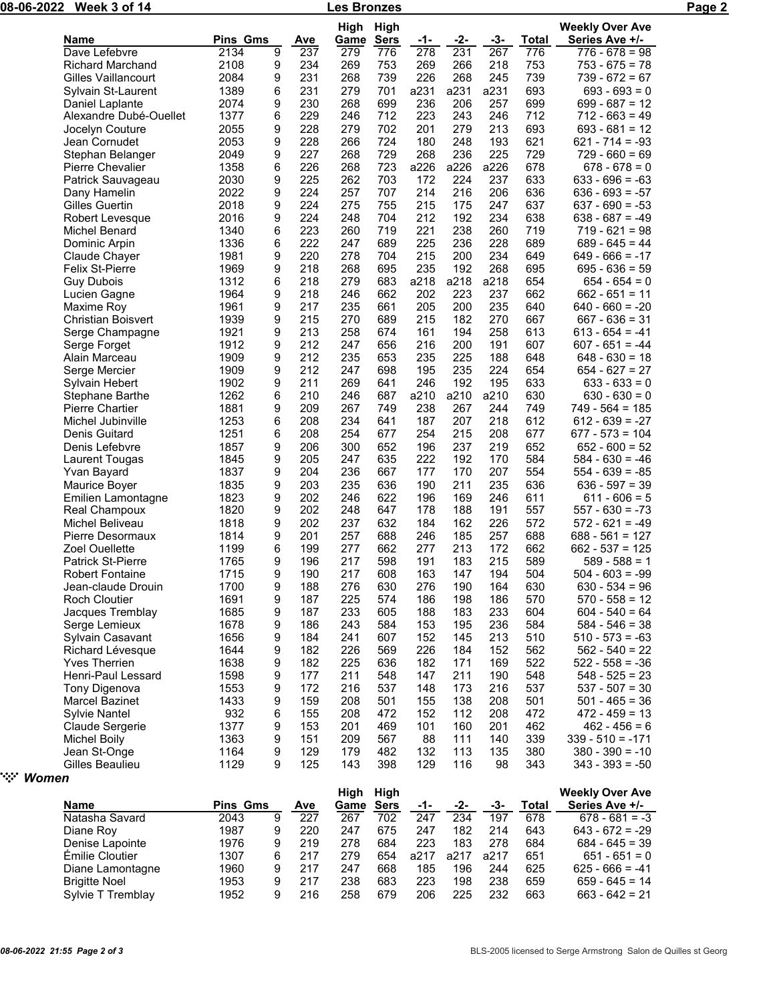|                           |                 |   |     | <b>High</b> | High        |      |      |      |       | <b>Weekly Over Ave</b> |
|---------------------------|-----------------|---|-----|-------------|-------------|------|------|------|-------|------------------------|
| Name                      | <b>Pins Gms</b> |   | Ave | Game        | <b>Sers</b> | -1-  | -2-  | -3-  | Total | Series Ave +/-         |
| Dave Lefebvre             | 2134            | 9 | 237 | 279         | 776         | 278  | 231  | 267  | 776   | $776 - 678 = 98$       |
| <b>Richard Marchand</b>   | 2108            | 9 | 234 | 269         | 753         | 269  | 266  | 218  | 753   | $753 - 675 = 78$       |
| Gilles Vaillancourt       | 2084            | 9 | 231 | 268         | 739         | 226  | 268  | 245  | 739   | $739 - 672 = 67$       |
| Sylvain St-Laurent        | 1389            | 6 | 231 | 279         | 701         | a231 | a231 | a231 | 693   | $693 - 693 = 0$        |
| Daniel Laplante           | 2074            | 9 | 230 | 268         | 699         | 236  | 206  | 257  | 699   | $699 - 687 = 12$       |
| Alexandre Dubé-Ouellet    | 1377            | 6 | 229 | 246         | 712         | 223  | 243  | 246  | 712   | $712 - 663 = 49$       |
| Jocelyn Couture           | 2055            | 9 | 228 | 279         | 702         | 201  | 279  | 213  | 693   | $693 - 681 = 12$       |
| Jean Cornudet             | 2053            | 9 | 228 | 266         | 724         | 180  | 248  | 193  | 621   | $621 - 714 = -93$      |
| Stephan Belanger          | 2049            | 9 | 227 | 268         | 729         | 268  | 236  | 225  | 729   | $729 - 660 = 69$       |
| <b>Pierre Chevalier</b>   | 1358            | 6 | 226 | 268         | 723         | a226 | a226 | a226 | 678   | $678 - 678 = 0$        |
| Patrick Sauvageau         | 2030            | 9 | 225 | 262         | 703         | 172  | 224  | 237  | 633   | $633 - 696 = -63$      |
| Dany Hamelin              | 2022            | 9 | 224 | 257         | 707         | 214  | 216  | 206  | 636   | $636 - 693 = -57$      |
| Gilles Guertin            | 2018            | 9 | 224 | 275         | 755         | 215  | 175  | 247  | 637   | $637 - 690 = -53$      |
| Robert Levesque           | 2016            | 9 | 224 | 248         | 704         | 212  | 192  | 234  | 638   | $638 - 687 = -49$      |
| Michel Benard             | 1340            | 6 | 223 | 260         | 719         | 221  | 238  | 260  | 719   | $719 - 621 = 98$       |
| Dominic Arpin             | 1336            | 6 | 222 | 247         | 689         | 225  | 236  | 228  | 689   | $689 - 645 = 44$       |
| Claude Chayer             | 1981            | 9 | 220 | 278         | 704         | 215  | 200  | 234  | 649   | $649 - 666 = -17$      |
| <b>Felix St-Pierre</b>    | 1969            | 9 | 218 | 268         | 695         | 235  | 192  | 268  | 695   | $695 - 636 = 59$       |
| <b>Guy Dubois</b>         | 1312            | 6 | 218 | 279         | 683         | a218 | a218 | a218 | 654   | $654 - 654 = 0$        |
| Lucien Gagne              | 1964            | 9 | 218 | 246         | 662         | 202  | 223  | 237  | 662   | $662 - 651 = 11$       |
| Maxime Roy                | 1961            | 9 | 217 | 235         | 661         | 205  | 200  | 235  | 640   | $640 - 660 = -20$      |
| <b>Christian Boisvert</b> | 1939            | 9 | 215 | 270         | 689         | 215  | 182  | 270  | 667   | $667 - 636 = 31$       |
| Serge Champagne           | 1921            | 9 | 213 | 258         | 674         | 161  | 194  | 258  | 613   | $613 - 654 = -41$      |
| Serge Forget              | 1912            | 9 | 212 | 247         | 656         | 216  | 200  | 191  | 607   | $607 - 651 = -44$      |
| Alain Marceau             | 1909            | 9 | 212 | 235         | 653         | 235  | 225  | 188  | 648   | $648 - 630 = 18$       |
| Serge Mercier             | 1909            | 9 | 212 | 247         | 698         | 195  | 235  | 224  | 654   | $654 - 627 = 27$       |
| Sylvain Hebert            | 1902            | 9 | 211 | 269         | 641         | 246  | 192  | 195  | 633   | $633 - 633 = 0$        |
| Stephane Barthe           | 1262            | 6 | 210 | 246         | 687         | a210 | a210 | a210 | 630   | $630 - 630 = 0$        |
| Pierre Chartier           | 1881            | 9 | 209 | 267         | 749         | 238  | 267  | 244  | 749   | $749 - 564 = 185$      |
| Michel Jubinville         | 1253            | 6 | 208 | 234         | 641         | 187  | 207  | 218  | 612   | $612 - 639 = -27$      |
| Denis Guitard             | 1251            | 6 | 208 | 254         | 677         | 254  | 215  | 208  | 677   | $677 - 573 = 104$      |
| Denis Lefebvre            | 1857            | 9 | 206 | 300         | 652         | 196  | 237  | 219  | 652   | $652 - 600 = 52$       |
| Laurent Tougas            | 1845            | 9 | 205 | 247         | 635         | 222  | 192  | 170  | 584   | $584 - 630 = -46$      |
| Yvan Bayard               | 1837            | 9 | 204 | 236         | 667         | 177  | 170  | 207  | 554   | $554 - 639 = -85$      |
| Maurice Boyer             | 1835            | 9 | 203 | 235         | 636         | 190  | 211  | 235  | 636   | $636 - 597 = 39$       |
| Emilien Lamontagne        | 1823            | 9 | 202 | 246         | 622         | 196  | 169  | 246  | 611   | $611 - 606 = 5$        |
| Real Champoux             | 1820            | 9 | 202 | 248         | 647         | 178  | 188  | 191  | 557   | $557 - 630 = -73$      |
| Michel Beliveau           | 1818            | 9 | 202 | 237         | 632         | 184  | 162  | 226  | 572   | 572 - 621 = -49        |
| Pierre Desormaux          | 1814            | 9 | 201 | 257         | 688         | 246  | 185  | 257  | 688   | $688 - 561 = 127$      |
| Zoel Ouellette            | 1199            | 6 | 199 | 277         | 662         | 277  | 213  | 172  | 662   | $662 - 537 = 125$      |
| Patrick St-Pierre         | 1765            | 9 | 196 | 217         | 598         | 191  | 183  | 215  | 589   | $589 - 588 = 1$        |
| <b>Robert Fontaine</b>    | 1715            | 9 | 190 | 217         | 608         | 163  | 147  | 194  | 504   | $504 - 603 = -99$      |
| Jean-claude Drouin        | 1700            | 9 | 188 | 276         | 630         | 276  | 190  | 164  | 630   | $630 - 534 = 96$       |
| Roch Cloutier             | 1691            | 9 | 187 | 225         | 574         | 186  | 198  | 186  | 570   | $570 - 558 = 12$       |
| Jacques Tremblay          | 1685            | 9 | 187 | 233         | 605         | 188  | 183  | 233  | 604   | $604 - 540 = 64$       |
| Serge Lemieux             | 1678            | 9 | 186 | 243         | 584         | 153  | 195  | 236  | 584   | $584 - 546 = 38$       |
| Sylvain Casavant          | 1656            | 9 | 184 | 241         | 607         | 152  | 145  | 213  | 510   | $510 - 573 = -63$      |
| Richard Lévesque          | 1644            | 9 | 182 | 226         | 569         | 226  | 184  | 152  | 562   | $562 - 540 = 22$       |
| <b>Yves Therrien</b>      | 1638            | 9 | 182 | 225         | 636         | 182  | 171  | 169  | 522   | $522 - 558 = -36$      |
| Henri-Paul Lessard        | 1598            | 9 | 177 | 211         | 548         | 147  | 211  | 190  | 548   | $548 - 525 = 23$       |
| Tony Digenova             | 1553            | 9 | 172 | 216         | 537         | 148  | 173  | 216  | 537   | $537 - 507 = 30$       |
| Marcel Bazinet            | 1433            | 9 | 159 | 208         | 501         | 155  | 138  | 208  | 501   | $501 - 465 = 36$       |
| Sylvie Nantel             | 932             | 6 | 155 | 208         | 472         | 152  | 112  | 208  | 472   | $472 - 459 = 13$       |
|                           |                 |   |     |             |             |      |      |      |       |                        |
| Claude Sergerie           | 1377            | 9 | 153 | 201         | 469         | 101  | 160  | 201  | 462   | $462 - 456 = 6$        |
| <b>Michel Boily</b>       | 1363            | 9 | 151 | 209         | 567         | 88   | 111  | 140  | 339   | $339 - 510 = -171$     |
| Jean St-Onge              | 1164            | 9 | 129 | 179         | 482         | 132  | 113  | 135  | 380   | $380 - 390 = -10$      |
| Gilles Beaulieu           | 1129            | 9 | 125 | 143         | 398         | 129  | 116  | 98   | 343   | $343 - 393 = -50$      |
| Women                     |                 |   |     |             |             |      |      |      |       |                        |
|                           |                 |   |     | High High   |             |      |      |      |       | <b>Weekly Over Ave</b> |

|                      |                 |   |     | High | Hiah |      |      |      |       | <b>Weekly Over Ave</b> |  |
|----------------------|-----------------|---|-----|------|------|------|------|------|-------|------------------------|--|
| <b>Name</b>          | <b>Pins Gms</b> |   | Ave | Game |      | -1-  | -2-  | -3-  | Total | Series Ave +/-         |  |
| Natasha Savard       | 2043            | 9 | 227 | 267  | 702  | 247  | 234  | 197  | 678   | $678 - 681 = -3$       |  |
| Diane Roy            | 1987            | 9 | 220 | 247  | 675  | 247  | 182  | 214  | 643   | $643 - 672 = -29$      |  |
| Denise Lapointe      | 1976            | 9 | 219 | 278  | 684  | 223  | 183  | 278  | 684   | $684 - 645 = 39$       |  |
| Émilie Cloutier      | 1307            | 6 | 217 | 279  | 654  | a217 | a217 | a217 | 651   | $651 - 651 = 0$        |  |
| Diane Lamontagne     | 1960            | 9 | 217 | 247  | 668  | 185  | 196  | 244  | 625   | $625 - 666 = -41$      |  |
| <b>Brigitte Noel</b> | 1953            | 9 | 217 | 238  | 683  | 223  | 198  | 238  | 659   | $659 - 645 = 14$       |  |
| Sylvie T Tremblay    | 1952            | 9 | 216 | 258  | 679  | 206  | 225  | 232  | 663   | $663 - 642 = 21$       |  |

" *Women*